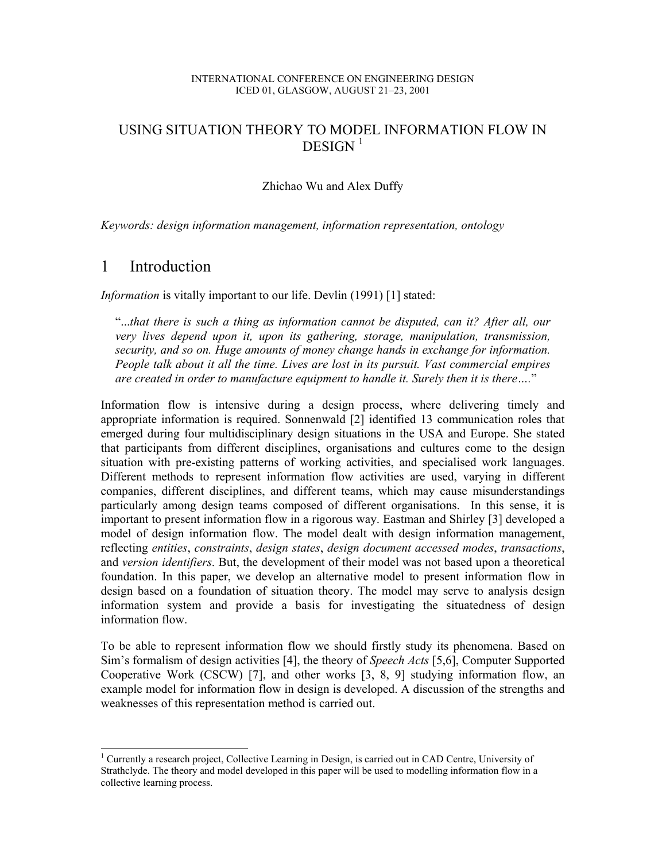#### INTERNATIONAL CONFERENCE ON ENGINEERING DESIGN ICED 01, GLASGOW, AUGUST 21-23, 2001

#### USING SITUATION THEORY TO MODEL INFORMATION FLOW IN  $DESIGN<sup>1</sup>$

#### Zhichao Wu and Alex Duffy

*Keywords: design information management, information representation, ontology* 

#### 1 Introduction

*Information* is vitally important to our life. Devlin (1991) [1] stated:

ì...*that there is such a thing as information cannot be disputed, can it? After all, our very lives depend upon it, upon its gathering, storage, manipulation, transmission, security, and so on. Huge amounts of money change hands in exchange for information. People talk about it all the time. Lives are lost in its pursuit. Vast commercial empires are created in order to manufacture equipment to handle it. Surely then it is there....*<sup>7</sup>

Information flow is intensive during a design process, where delivering timely and appropriate information is required. Sonnenwald [2] identified 13 communication roles that emerged during four multidisciplinary design situations in the USA and Europe. She stated that participants from different disciplines, organisations and cultures come to the design situation with pre-existing patterns of working activities, and specialised work languages. Different methods to represent information flow activities are used, varying in different companies, different disciplines, and different teams, which may cause misunderstandings particularly among design teams composed of different organisations. In this sense, it is important to present information flow in a rigorous way. Eastman and Shirley [3] developed a model of design information flow. The model dealt with design information management, reflecting *entities*, *constraints*, *design states*, *design document accessed modes*, *transactions*, and *version identifiers*. But, the development of their model was not based upon a theoretical foundation. In this paper, we develop an alternative model to present information flow in design based on a foundation of situation theory. The model may serve to analysis design information system and provide a basis for investigating the situatedness of design information flow.

To be able to represent information flow we should firstly study its phenomena. Based on Simís formalism of design activities [4], the theory of *Speech Acts* [5,6], Computer Supported Cooperative Work (CSCW) [7], and other works [3, 8, 9] studying information flow, an example model for information flow in design is developed. A discussion of the strengths and weaknesses of this representation method is carried out.

<sup>&</sup>lt;sup>1</sup> Currently a research project, Collective Learning in Design, is carried out in CAD Centre, University of Strathclyde. The theory and model developed in this paper will be used to modelling information flow in a collective learning process.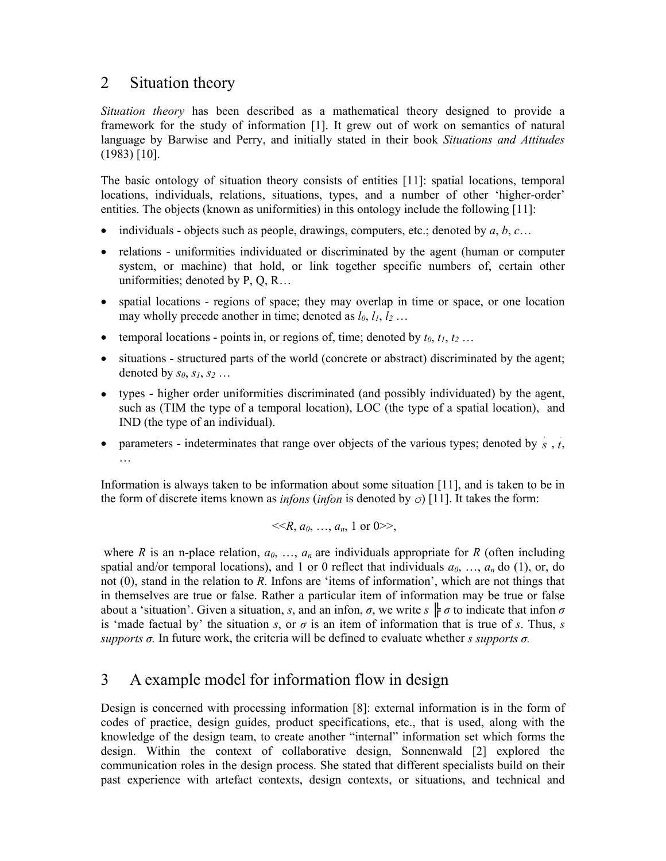# 2 Situation theory

*Situation theory* has been described as a mathematical theory designed to provide a framework for the study of information [1]. It grew out of work on semantics of natural language by Barwise and Perry, and initially stated in their book *Situations and Attitudes* (1983) [10].

The basic ontology of situation theory consists of entities [11]: spatial locations, temporal locations, individuals, relations, situations, types, and a number of other 'higher-order' entities. The objects (known as uniformities) in this ontology include the following [11]:

- individuals objects such as people, drawings, computers, etc.; denoted by  $a, b, c...$
- relations uniformities individuated or discriminated by the agent (human or computer system, or machine) that hold, or link together specific numbers of, certain other uniformities; denoted by  $P, Q, R...$
- spatial locations regions of space; they may overlap in time or space, or one location may wholly precede another in time; denoted as  $l_0$ ,  $l_1$ ,  $l_2$ ...
- temporal locations points in, or regions of, time; denoted by  $t_0, t_1, t_2$ ...
- situations structured parts of the world (concrete or abstract) discriminated by the agent; denoted by  $s_0$ ,  $s_1$ ,  $s_2$ ...
- types higher order uniformities discriminated (and possibly individuated) by the agent, such as (TIM the type of a temporal location), LOC (the type of a spatial location), and IND (the type of an individual).
- parameters indeterminates that range over objects of the various types; denoted by  $s$ ,  $t$ , Ö

Information is always taken to be information about some situation [11], and is taken to be in the form of discrete items known as *infons* (*infon* is denoted by  $\sigma$ ) [11]. It takes the form:

$$

$$

where *R* is an n-place relation,  $a_0$ ,  $\ldots$ ,  $a_n$  are individuals appropriate for *R* (often including spatial and/or temporal locations), and 1 or 0 reflect that individuals  $a_0$ ,  $\ldots$ ,  $a_n$  do (1), or, do not (0), stand in the relation to *R*. Infons are 'items of information', which are not things that in themselves are true or false. Rather a particular item of information may be true or false about a 'situation'. Given a situation, *s*, and an infon,  $\sigma$ , we write  $s \not\parallel \sigma$  to indicate that infon  $\sigma$ is 'made factual by' the situation *s*, or  $\sigma$  is an item of information that is true of *s*. Thus, *s supports*  $\sigma$ . In future work, the criteria will be defined to evaluate whether *s supports*  $\sigma$ .

# 3 A example model for information flow in design

Design is concerned with processing information [8]: external information is in the form of codes of practice, design guides, product specifications, etc., that is used, along with the knowledge of the design team, to create another "internal" information set which forms the design. Within the context of collaborative design, Sonnenwald [2] explored the communication roles in the design process. She stated that different specialists build on their past experience with artefact contexts, design contexts, or situations, and technical and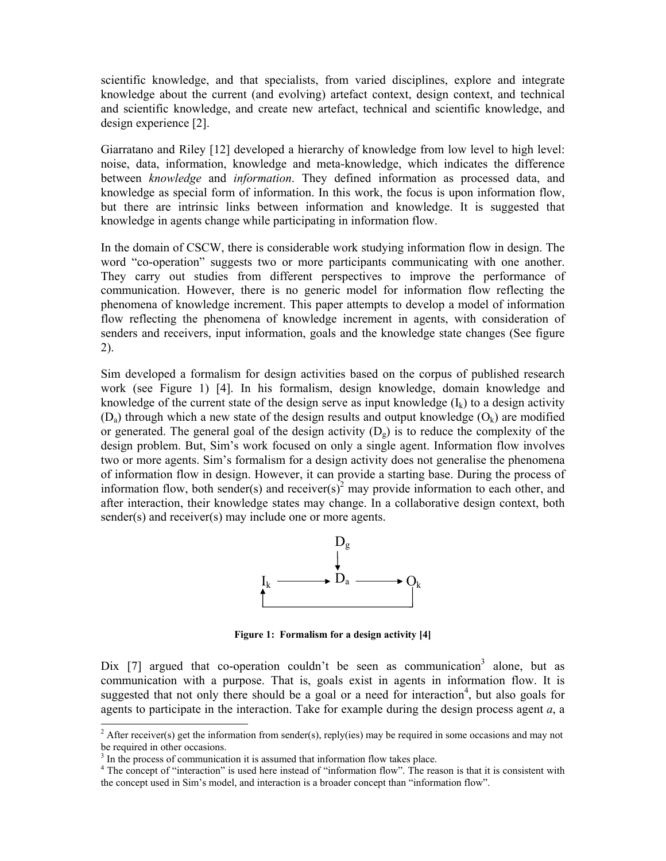scientific knowledge, and that specialists, from varied disciplines, explore and integrate knowledge about the current (and evolving) artefact context, design context, and technical and scientific knowledge, and create new artefact, technical and scientific knowledge, and design experience [2].

Giarratano and Riley [12] developed a hierarchy of knowledge from low level to high level: noise, data, information, knowledge and meta-knowledge, which indicates the difference between *knowledge* and *information*. They defined information as processed data, and knowledge as special form of information. In this work, the focus is upon information flow, but there are intrinsic links between information and knowledge. It is suggested that knowledge in agents change while participating in information flow.

In the domain of CSCW, there is considerable work studying information flow in design. The word "co-operation" suggests two or more participants communicating with one another. They carry out studies from different perspectives to improve the performance of communication. However, there is no generic model for information flow reflecting the phenomena of knowledge increment. This paper attempts to develop a model of information flow reflecting the phenomena of knowledge increment in agents, with consideration of senders and receivers, input information, goals and the knowledge state changes (See figure 2).

Sim developed a formalism for design activities based on the corpus of published research work (see Figure 1) [4]. In his formalism, design knowledge, domain knowledge and knowledge of the current state of the design serve as input knowledge  $(I_k)$  to a design activity  $(D_a)$  through which a new state of the design results and output knowledge  $(O_k)$  are modified or generated. The general goal of the design activity  $(D<sub>o</sub>)$  is to reduce the complexity of the design problem. But, Sim's work focused on only a single agent. Information flow involves two or more agents. Sim's formalism for a design activity does not generalise the phenomena of information flow in design. However, it can provide a starting base. During the process of information flow, both sender(s) and receiver(s)<sup>2</sup> may provide information to each other, and after interaction, their knowledge states may change. In a collaborative design context, both sender(s) and receiver(s) may include one or more agents.



**Figure 1: Formalism for a design activity [4]** 

Dix [7] argued that co-operation couldn't be seen as communication<sup>3</sup> alone, but as communication with a purpose. That is, goals exist in agents in information flow. It is suggested that not only there should be a goal or a need for interaction<sup>4</sup>, but also goals for agents to participate in the interaction. Take for example during the design process agent *a*, a

 $\overline{a}$ 

<sup>&</sup>lt;sup>2</sup> After receiver(s) get the information from sender(s), reply(ies) may be required in some occasions and may not be required in other occasions.

<sup>&</sup>lt;sup>3</sup> In the process of communication it is assumed that information flow takes place.

<sup>&</sup>lt;sup>4</sup> The concept of "interaction" is used here instead of "information flow". The reason is that it is consistent with the concept used in Sim's model, and interaction is a broader concept than "information flow".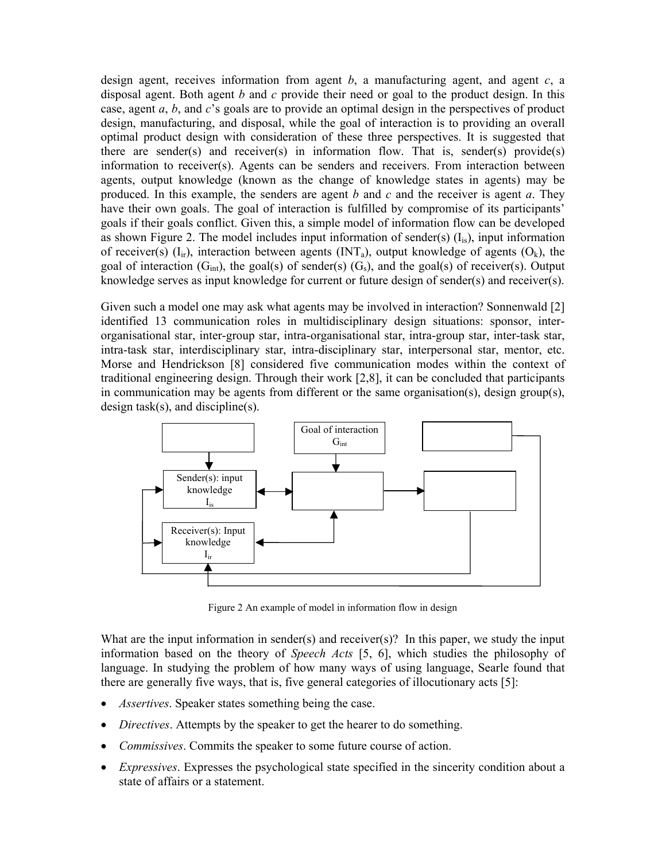design agent, receives information from agent *b*, a manufacturing agent, and agent *c*, a disposal agent. Both agent *b* and *c* provide their need or goal to the product design. In this case, agent *a*, *b*, and *c*ís goals are to provide an optimal design in the perspectives of product design, manufacturing, and disposal, while the goal of interaction is to providing an overall optimal product design with consideration of these three perspectives. It is suggested that there are sender(s) and receiver(s) in information flow. That is, sender(s) provide(s) information to receiver(s). Agents can be senders and receivers. From interaction between agents, output knowledge (known as the change of knowledge states in agents) may be produced. In this example, the senders are agent *b* and *c* and the receiver is agent *a*. They have their own goals. The goal of interaction is fulfilled by compromise of its participants' goals if their goals conflict. Given this, a simple model of information flow can be developed as shown Figure 2. The model includes input information of sender(s)  $(I_{is})$ , input information of receiver(s)  $(I_{ir})$ , interaction between agents  $(INT_a)$ , output knowledge of agents  $(O_k)$ , the goal of interaction  $(G_{int})$ , the goal(s) of sender(s)  $(G_s)$ , and the goal(s) of receiver(s). Output knowledge serves as input knowledge for current or future design of sender(s) and receiver(s).

Given such a model one may ask what agents may be involved in interaction? Sonnenwald [2] identified 13 communication roles in multidisciplinary design situations: sponsor, interorganisational star, inter-group star, intra-organisational star, intra-group star, inter-task star, intra-task star, interdisciplinary star, intra-disciplinary star, interpersonal star, mentor, etc. Morse and Hendrickson [8] considered five communication modes within the context of traditional engineering design. Through their work [2,8], it can be concluded that participants in communication may be agents from different or the same organisation(s), design group(s), design task(s), and discipline(s).



Figure 2 An example of model in information flow in design

What are the input information in sender(s) and receiver(s)? In this paper, we study the input information based on the theory of *Speech Acts* [5, 6], which studies the philosophy of language. In studying the problem of how many ways of using language, Searle found that there are generally five ways, that is, five general categories of illocutionary acts [5]:

- *Assertives*. Speaker states something being the case.
- *Directives*. Attempts by the speaker to get the hearer to do something.
- *Commissives*. Commits the speaker to some future course of action.
- *Expressives*. Expresses the psychological state specified in the sincerity condition about a state of affairs or a statement.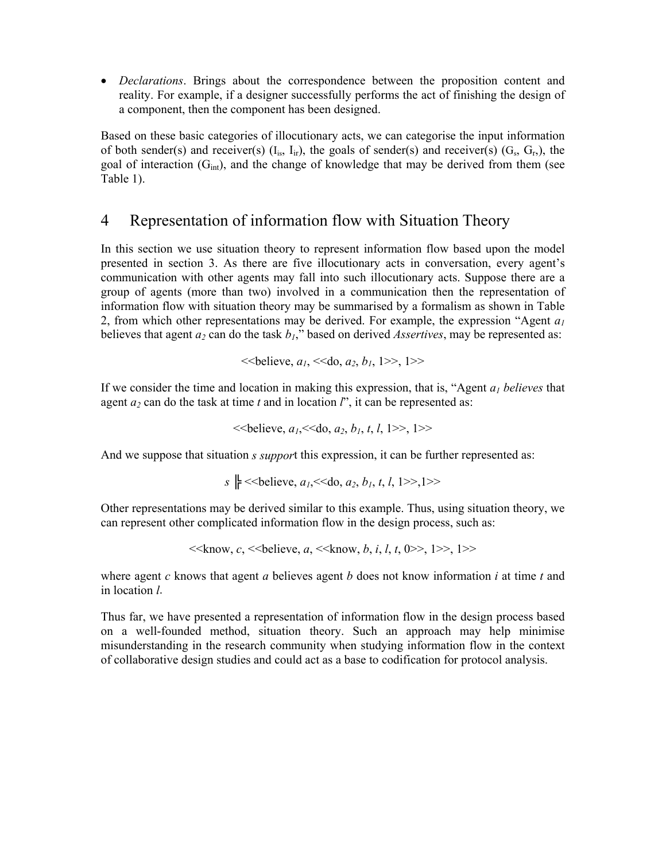• *Declarations*. Brings about the correspondence between the proposition content and reality. For example, if a designer successfully performs the act of finishing the design of a component, then the component has been designed.

Based on these basic categories of illocutionary acts, we can categorise the input information of both sender(s) and receiver(s)  $(I_{is}, I_{ir})$ , the goals of sender(s) and receiver(s)  $(G_s, G_r)$ , the goal of interaction  $(G_{int})$ , and the change of knowledge that may be derived from them (see Table 1).

## 4 Representation of information flow with Situation Theory

In this section we use situation theory to represent information flow based upon the model presented in section 3. As there are five illocutionary acts in conversation, every agent's communication with other agents may fall into such illocutionary acts. Suppose there are a group of agents (more than two) involved in a communication then the representation of information flow with situation theory may be summarised by a formalism as shown in Table 2, from which other representations may be derived. For example, the expression "Agent  $a<sub>l</sub>$ believes that agent  $a_2$  can do the task  $b_1$ ," based on derived *Assertives*, may be represented as:

$$
\le \text{believe}, a_1, \le \text{do}, a_2, b_1, 1 \ge \text{, } 1 \ge
$$

If we consider the time and location in making this expression, that is, "Agent  $a<sub>l</sub>$  *believes* that agent  $a_2$  can do the task at time *t* and in location *l*<sup>n</sup>, it can be represented as:

$$
\le \text{believe}, a_1, \le \text{do}, a_2, b_1, t, l, 1 \ge >, 1 \ge
$$

And we suppose that situation *s suppor*t this expression, it can be further represented as:

s 
$$
\rvert\frac{1}{6}
$$
 < \cdot \text{believe},  $a_1$ , < \,  $a_2$ ,  $b_1$ ,  $t$ ,  $l$ ,  $1 \ge 0$ ,  $1 \ge 0$ 

Other representations may be derived similar to this example. Thus, using situation theory, we can represent other complicated information flow in the design process, such as:

$$
\ll
$$
 know,  $c$ ,  $\ll$  believe,  $a$ ,  $\ll$  know,  $b$ ,  $i$ ,  $l$ ,  $t$ ,  $0 \gg$ ,  $1 \gg$ ,  $1 \gg$ 

where agent *c* knows that agent *a* believes agent *b* does not know information *i* at time *t* and in location *l*.

Thus far, we have presented a representation of information flow in the design process based on a well-founded method, situation theory. Such an approach may help minimise misunderstanding in the research community when studying information flow in the context of collaborative design studies and could act as a base to codification for protocol analysis.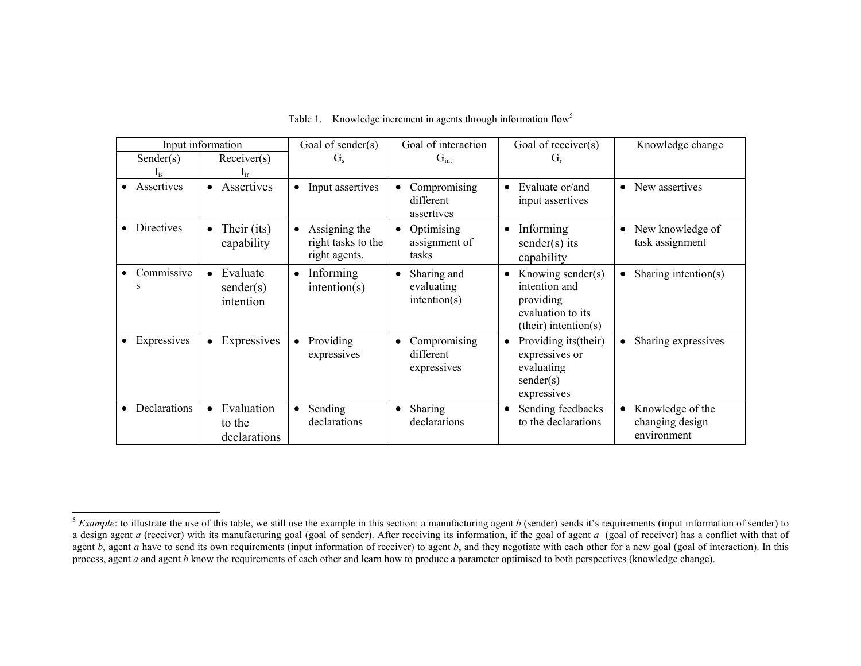| Input information       |                                                   | Goal of sender(s)                                    | Goal of interaction                       | Goal of receiver(s)                                                                                            | Knowledge change                                                |
|-------------------------|---------------------------------------------------|------------------------------------------------------|-------------------------------------------|----------------------------------------------------------------------------------------------------------------|-----------------------------------------------------------------|
| Sender $(s)$<br>Lis     | Receiver(s)<br>1.r                                | $G_{s}$                                              | $G_{\text{int}}$                          | $G_r$                                                                                                          |                                                                 |
| Assertives<br>$\bullet$ | Assertives<br>$\bullet$                           | Input assertives<br>$\bullet$                        | Compromising<br>different<br>assertives   | Evaluate or/and<br>$\bullet$<br>input assertives                                                               | New assertives<br>$\bullet$                                     |
| Directives<br>$\bullet$ | Their (its)<br>$\bullet$<br>capability            | Assigning the<br>right tasks to the<br>right agents. | Optimising<br>assignment of<br>tasks      | Informing<br>$\bullet$<br>$sender(s)$ its<br>capability                                                        | New knowledge of<br>$\bullet$<br>task assignment                |
| Commissive<br>s         | Evaluate<br>$\bullet$<br>sender(s)<br>intention   | Informing<br>$\bullet$<br>intention(s)               | Sharing and<br>evaluating<br>intention(s) | Knowing sender(s)<br>$\bullet$<br>intention and<br>providing<br>evaluation to its<br>$(their)$ intention $(s)$ | Sharing intention(s)<br>$\bullet$                               |
| Expressives             | Expressives<br>$\bullet$                          | Providing<br>٠<br>expressives                        | Compromising<br>different<br>expressives  | Providing its (their)<br>$\bullet$<br>expressives or<br>evaluating<br>sender(s)<br>expressives                 | Sharing expressives<br>$\bullet$                                |
| Declarations            | Evaluation<br>$\bullet$<br>to the<br>declarations | Sending<br>$\bullet$<br>declarations                 | Sharing<br>$\bullet$<br>declarations      | Sending feedbacks<br>$\bullet$<br>to the declarations                                                          | Knowledge of the<br>$\bullet$<br>changing design<br>environment |

| Table 1. Knowledge increment in agents through information flow <sup>5</sup> |  |  |  |
|------------------------------------------------------------------------------|--|--|--|
|                                                                              |  |  |  |

-

 $5$  *Example*: to illustrate the use of this table, we still use the example in this section: a manufacturing agent  $b$  (sender) sends it's requirements (input information of sender) to a design agent *a* (receiver) with its manufacturing goal (goal of sender). After receiving its information, if the goal of agent *a* (goal of receiver) has a conflict with that of agent *b*, agent *a* have to send its own requirements (input information of receiver) to agent *b*, and they negotiate with each other for a new goal (goal of interaction). In this process, agent *a* and agent *b* know the requirements of each other and learn how to produce a parameter optimised to both perspectives (knowledge change).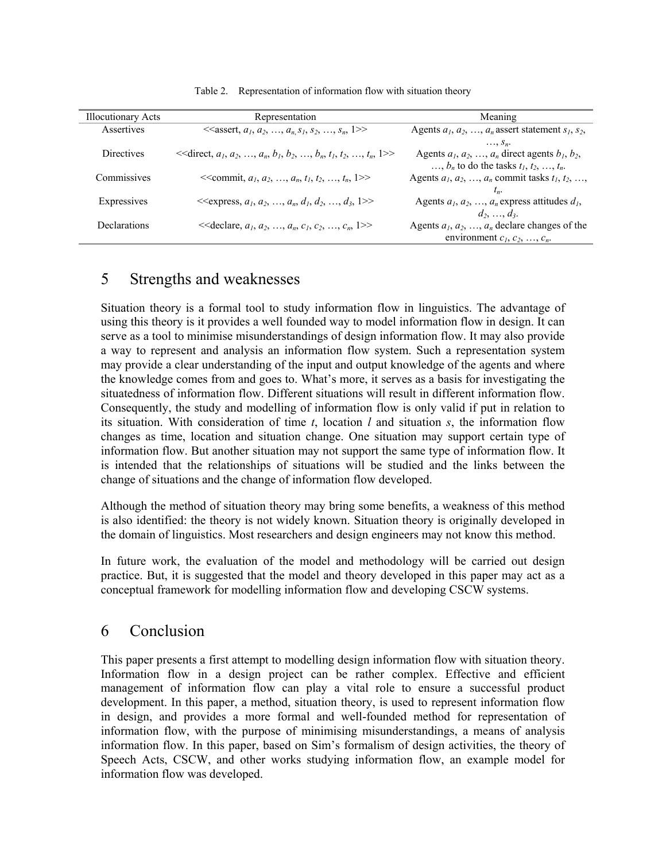| <b>Illocutionary Acts</b> | Representation                                                           | Meaning                                                                                                              |
|---------------------------|--------------------------------------------------------------------------|----------------------------------------------------------------------------------------------------------------------|
| Assertives                | $\leq$ assert, $a_1, a_2, , a_n, s_1, s_2, , s_n, 1 \geq$                | Agents $a_1, a_2, , a_n$ assert statement $s_1, s_2$ ,                                                               |
| <b>Directives</b>         | $\le$ direct, $a_1, a_2, , a_n, b_1, b_2, , b_n, t_1, t_2, , t_n, 1 \ge$ | $\ldots, S_n$ .<br>Agents $a_1, a_2, , a_n$ direct agents $b_1, b_2,$<br>$, b_n$ to do the tasks $t_1, t_2, , t_n$ . |
| Commissives               | $<<$ commit, $a_1, a_2, , a_n, t_1, t_2, , t_n, 1>>$                     | Agents $a_1, a_2, \ldots, a_n$ commit tasks $t_1, t_2, \ldots,$                                                      |
| Expressives               | $\ll$ express, $a_1, a_2, , a_n, d_1, d_2, , d_3, 1 \gg$                 | Agents $a_1, a_2, , a_n$ express attitudes $d_1$ ,<br>$d_2, , d_n$                                                   |
| Declarations              | $\leq$ declare, $a_1, a_2, , a_n, c_1, c_2, , c_n, 1 \geq$               | Agents $a_1, a_2, , a_n$ declare changes of the                                                                      |
|                           |                                                                          | environment $c_1, c_2, , c_n$ .                                                                                      |

Table 2. Representation of information flow with situation theory

# 5 Strengths and weaknesses

Situation theory is a formal tool to study information flow in linguistics. The advantage of using this theory is it provides a well founded way to model information flow in design. It can serve as a tool to minimise misunderstandings of design information flow. It may also provide a way to represent and analysis an information flow system. Such a representation system may provide a clear understanding of the input and output knowledge of the agents and where the knowledge comes from and goes to. What's more, it serves as a basis for investigating the situatedness of information flow. Different situations will result in different information flow. Consequently, the study and modelling of information flow is only valid if put in relation to its situation. With consideration of time *t*, location *l* and situation *s*, the information flow changes as time, location and situation change. One situation may support certain type of information flow. But another situation may not support the same type of information flow. It is intended that the relationships of situations will be studied and the links between the change of situations and the change of information flow developed.

Although the method of situation theory may bring some benefits, a weakness of this method is also identified: the theory is not widely known. Situation theory is originally developed in the domain of linguistics. Most researchers and design engineers may not know this method.

In future work, the evaluation of the model and methodology will be carried out design practice. But, it is suggested that the model and theory developed in this paper may act as a conceptual framework for modelling information flow and developing CSCW systems.

## 6 Conclusion

This paper presents a first attempt to modelling design information flow with situation theory. Information flow in a design project can be rather complex. Effective and efficient management of information flow can play a vital role to ensure a successful product development. In this paper, a method, situation theory, is used to represent information flow in design, and provides a more formal and well-founded method for representation of information flow, with the purpose of minimising misunderstandings, a means of analysis information flow. In this paper, based on Sim's formalism of design activities, the theory of Speech Acts, CSCW, and other works studying information flow, an example model for information flow was developed.